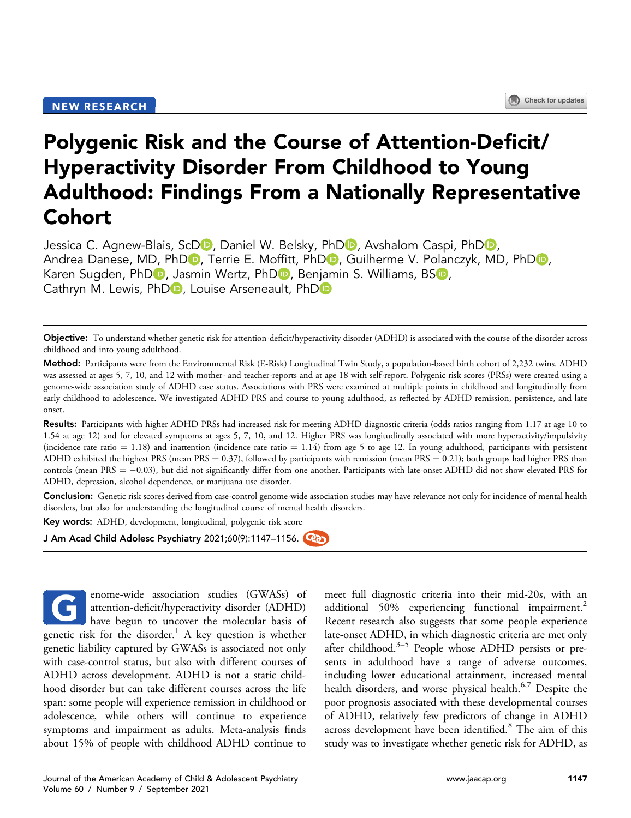# Polygenic Risk and the Course of Attention-Deficit/ Hyperactivity Disorder From Childhood to Young Adulthood: Findings From a Nationally Representative Cohort

Jessica C. Agnew-Blais[,](https://orcid.org/0000-0003-0082-4600) ScDD, Daniel W. Belsky, PhDD, Avshalom Caspi, PhDD, Andrea Danese[,](https://orcid.org/0000-0001-8718-5412) M[D](https://orcid.org/0000-0002-8589-6760), PhDD, Terrie E. Moffitt, PhDD, Guilherme V. Polanczyk, MD, PhDD, Karen Sugden, Ph[D](https://orcid.org/0000-0002-4076-5927)<sub>D</sub>[,](https://orcid.org/0000-0003-3274-5317) Jasmin Wertz, PhD<sub>D</sub>, Benjamin S. Williams, BSD, Cathryn M. Lewis[,](https://orcid.org/0000-0002-8249-8476) Ph[D](https://orcid.org/0000-0002-2938-2191)<sub>D</sub>, Louise Arseneault, PhD<sub>D</sub>

Objective: To understand whether genetic risk for attention-deficit/hyperactivity disorder (ADHD) is associated with the course of the disorder across childhood and into young adulthood.

Method: Participants were from the Environmental Risk (E-Risk) Longitudinal Twin Study, a population-based birth cohort of 2,232 twins. ADHD was assessed at ages 5, 7, 10, and 12 with mother- and teacher-reports and at age 18 with self-report. Polygenic risk scores (PRSs) were created using a genome-wide association study of ADHD case status. Associations with PRS were examined at multiple points in childhood and longitudinally from early childhood to adolescence. We investigated ADHD PRS and course to young adulthood, as reflected by ADHD remission, persistence, and late onset.

Results: Participants with higher ADHD PRSs had increased risk for meeting ADHD diagnostic criteria (odds ratios ranging from 1.17 at age 10 to 1.54 at age 12) and for elevated symptoms at ages 5, 7, 10, and 12. Higher PRS was longitudinally associated with more hyperactivity/impulsivity (incidence rate ratio  $= 1.18$ ) and inattention (incidence rate ratio  $= 1.14$ ) from age 5 to age 12. In young adulthood, participants with persistent ADHD exhibited the highest PRS (mean PRS = 0.37), followed by participants with remission (mean PRS = 0.21); both groups had higher PRS than controls (mean  $PRS = -0.03$ ), but did not significantly differ from one another. Participants with late-onset ADHD did not show elevated PRS for ADHD, depression, alcohol dependence, or marijuana use disorder.

Conclusion: Genetic risk scores derived from case-control genome-wide association studies may have relevance not only for incidence of mental health disorders, but also for understanding the longitudinal course of mental health disorders.

Key words: ADHD, development, longitudinal, polygenic risk score

J Am Acad Child Adolesc Psychiatry 2021;60(9):1147-1156.

enome-wide association studies (GWASs) of attention-deficit/hyperactivity disorder (ADHD) have begun to uncover the molecular basis of genetic risk for the disorder.<sup>[1](#page-8-0)</sup> A key question is whether genetic liability captured by GWASs is associated not only with case-control status, but also with different courses of ADHD across development. ADHD is not a static childhood disorder but can take different courses across the life span: some people will experience remission in childhood or adolescence, while others will continue to experience symptoms and impairment as adults. Meta-analysis finds about 15% of people with childhood ADHD continue to G

meet full diagnostic criteria into their mid-20s, with an additional 50% experiencing functional impairment.<sup>2</sup> Recent research also suggests that some people experience late-onset ADH[D,](#page-8-2) in which diagnostic criteria are met only after childhood.<sup>3–5</sup> People whose ADHD persists or presents in adulthood have a range of adverse outcomes, including lower educational attainment, increased mental health disorders, and worse physical health.<sup>[6,](#page-8-3)[7](#page-8-4)</sup> Despite the poor prognosis associated with these developmental courses of ADHD, relatively few predictors of change in ADHD across development have been identified.<sup>[8](#page-8-5)</sup> The aim of this study was to investigate whether genetic risk for ADHD, as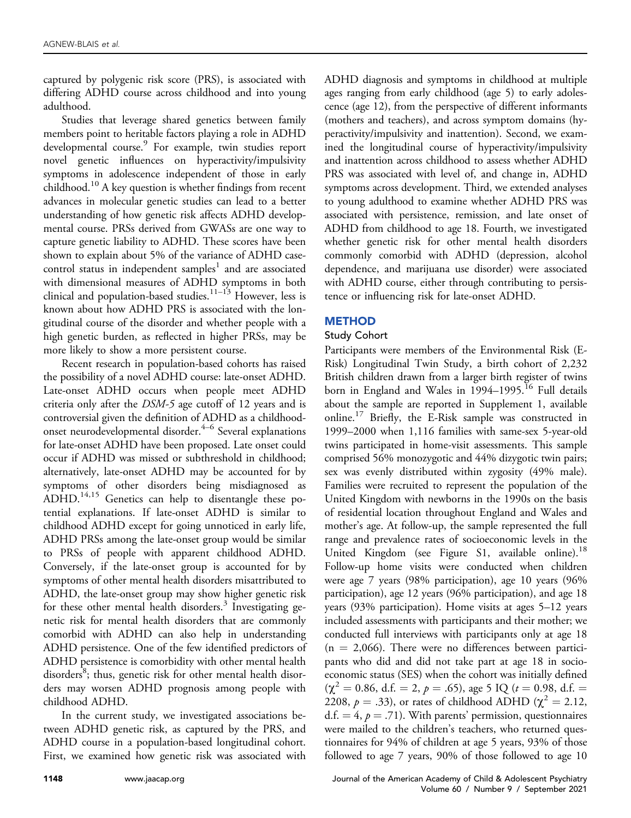captured by polygenic risk score (PRS), is associated with differing ADHD course across childhood and into young adulthood.

Studies that leverage shared genetics between family members point to heritable factors playing a role in ADHD developmental course.<sup>[9](#page-8-6)</sup> For example, twin studies report novel genetic influences on hyperactivity/impulsivity symptoms in adolescence independent of those in early childhood.<sup>10</sup> A key question is whether findings from recent advances in molecular genetic studies can lead to a better understanding of how genetic risk affects ADHD developmental course. PRSs derived from GWASs are one way to capture genetic liability to ADHD. These scores have been shown to explain about 5% of the variance of ADHD casecontrol status in independent samples<sup>1</sup> and are associated with dimensional measures of ADHD symptoms in both clinical and population-based studies.<sup>11-13</sup> However, less is known about how ADHD PRS is associated with the longitudinal course of the disorder and whether people with a high genetic burden, as reflected in higher PRSs, may be more likely to show a more persistent course.

Recent research in population-based cohorts has raised the possibility of a novel ADHD course: late-onset ADHD. Late-onset ADHD occurs when people meet ADHD criteria only after the DSM-5 age cutoff of 12 years and is controversial given the definition of [AD](#page-8-9)HD as a childhoodonset neurodevelopmental disorder.<sup>4–6</sup> Several explanations for late-onset ADHD have been proposed. Late onset could occur if ADHD was missed or subthreshold in childhood; alternatively, late-onset ADHD may be accounted for by symptoms of other disorders being misdiagnosed as ADHD.[14,](#page-8-10)[15](#page-8-11) Genetics can help to disentangle these potential explanations. If late-onset ADHD is similar to childhood ADHD except for going unnoticed in early life, ADHD PRSs among the late-onset group would be similar to PRSs of people with apparent childhood ADHD. Conversely, if the late-onset group is accounted for by symptoms of other mental health disorders misattributed to ADHD, the late-onset group may show higher genetic risk for these other mental health disorders. $3$  Investigating genetic risk for mental health disorders that are commonly comorbid with ADHD can also help in understanding ADHD persistence. One of the few identified predictors of ADHD persistence is comorbidity with other mental health disorders<sup>[8](#page-8-5)</sup>; thus, genetic risk for other mental health disorders may worsen ADHD prognosis among people with childhood ADHD.

In the current study, we investigated associations between ADHD genetic risk, as captured by the PRS, and ADHD course in a population-based longitudinal cohort. First, we examined how genetic risk was associated with

ADHD diagnosis and symptoms in childhood at multiple ages ranging from early childhood (age 5) to early adolescence (age 12), from the perspective of different informants (mothers and teachers), and across symptom domains (hyperactivity/impulsivity and inattention). Second, we examined the longitudinal course of hyperactivity/impulsivity and inattention across childhood to assess whether ADHD PRS was associated with level of, and change in, ADHD symptoms across development. Third, we extended analyses to young adulthood to examine whether ADHD PRS was associated with persistence, remission, and late onset of ADHD from childhood to age 18. Fourth, we investigated whether genetic risk for other mental health disorders commonly comorbid with ADHD (depression, alcohol dependence, and marijuana use disorder) were associated with ADHD course, either through contributing to persistence or influencing risk for late-onset ADHD.

#### **METHOD**

#### Study Cohort

Participants were members of the Environmental Risk (E-Risk) Longitudinal Twin Study, a birth cohort of 2,232 British children drawn from a larger birth register of twins born in England and Wales in 1994–1995.<sup>[16](#page-8-12)</sup> Full details about the sample are reported in Supplement 1, available online.<sup>[17](#page-8-13)</sup> Briefly, the E-Risk sample was constructed in 1999–2000 when 1,116 families with same-sex 5-year-old twins participated in home-visit assessments. This sample comprised 56% monozygotic and 44% dizygotic twin pairs; sex was evenly distributed within zygosity (49% male). Families were recruited to represent the population of the United Kingdom with newborns in the 1990s on the basis of residential location throughout England and Wales and mother's age. At follow-up, the sample represented the full range and prevalence rates of socioeconomic levels in the United Kingdom (see Figure S1, available online).<sup>18</sup> Follow-up home visits were conducted when children were age 7 years (98% participation), age 10 years (96% participation), age 12 years (96% participation), and age 18 years (93% participation). Home visits at ages 5–12 years included assessments with participants and their mother; we conducted full interviews with participants only at age 18  $(n = 2,066)$ . There were no differences between participants who did and did not take part at age 18 in socioeconomic status (SES) when the cohort was initially defined  $(\chi^2 = 0.86, d.f. = 2, p = .65)$ , age 5 IQ ( $t = 0.98, d.f. =$ 2208,  $p = .33$ ), or rates of childhood ADHD ( $\chi^2 = 2.12$ ,  $d.f. = 4, p = .71$ . With parents' permission, questionnaires were mailed to the children's teachers, who returned questionnaires for 94% of children at age 5 years, 93% of those followed to age 7 years, 90% of those followed to age 10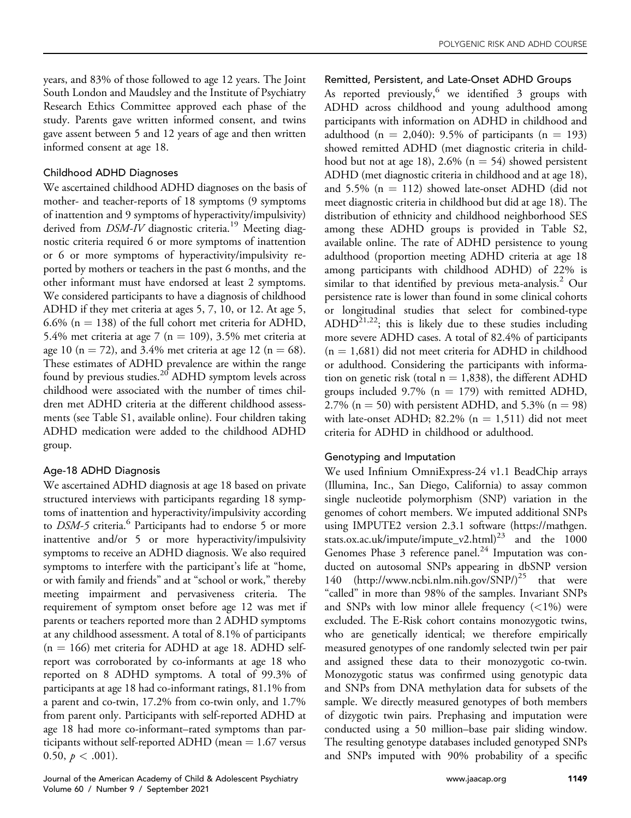years, and 83% of those followed to age 12 years. The Joint South London and Maudsley and the Institute of Psychiatry Research Ethics Committee approved each phase of the study. Parents gave written informed consent, and twins gave assent between 5 and 12 years of age and then written informed consent at age 18.

# Childhood ADHD Diagnoses

We ascertained childhood ADHD diagnoses on the basis of mother- and teacher-reports of 18 symptoms (9 symptoms of inattention and 9 symptoms of hyperactivity/impulsivity) derived from DSM-IV diagnostic criteria.<sup>[19](#page-9-1)</sup> Meeting diagnostic criteria required 6 or more symptoms of inattention or 6 or more symptoms of hyperactivity/impulsivity reported by mothers or teachers in the past 6 months, and the other informant must have endorsed at least 2 symptoms. We considered participants to have a diagnosis of childhood ADHD if they met criteria at ages 5, 7, 10, or 12. At age 5, 6.6% ( $n = 138$ ) of the full cohort met criteria for ADHD, 5.4% met criteria at age 7 ( $n = 109$ ), 3.5% met criteria at age 10 (n = 72), and 3.4% met criteria at age 12 (n = 68). These estimates of ADHD prevalence are within the range found by previous studies.<sup>[20](#page-9-2)</sup> ADHD symptom levels across childhood were associated with the number of times children met ADHD criteria at the different childhood assessments (see Table S1, available online). Four children taking ADHD medication were added to the childhood ADHD group.

# Age-18 ADHD Diagnosis

We ascertained ADHD diagnosis at age 18 based on private structured interviews with participants regarding 18 symptoms of inattention and hyperactivity/impulsivity according to DSM-5 criteria.<sup>[6](#page-8-3)</sup> Participants had to endorse 5 or more inattentive and/or 5 or more hyperactivity/impulsivity symptoms to receive an ADHD diagnosis. We also required symptoms to interfere with the participant's life at "home, or with family and friends" and at "school or work," thereby meeting impairment and pervasiveness criteria. The requirement of symptom onset before age 12 was met if parents or teachers reported more than 2 ADHD symptoms at any childhood assessment. A total of 8.1% of participants  $(n = 166)$  met criteria for ADHD at age 18. ADHD selfreport was corroborated by co-informants at age 18 who reported on 8 ADHD symptoms. A total of 99.3% of participants at age 18 had co-informant ratings, 81.1% from a parent and co-twin, 17.2% from co-twin only, and 1.7% from parent only. Participants with self-reported ADHD at age 18 had more co-informant–rated symptoms than participants without self-reported ADHD (mean  $= 1.67$  versus 0.50,  $p < .001$ ).

# Remitted, Persistent, and Late-Onset ADHD Groups

As reported previously, we identified  $3$  groups with ADHD across childhood and young adulthood among participants with information on ADHD in childhood and adulthood (n = 2,040): 9.5% of participants (n = 193) showed remitted ADHD (met diagnostic criteria in childhood but not at age 18), 2.6% ( $n = 54$ ) showed persistent ADHD (met diagnostic criteria in childhood and at age 18), and 5.5% ( $n = 112$ ) showed late-onset ADHD (did not meet diagnostic criteria in childhood but did at age 18). The distribution of ethnicity and childhood neighborhood SES among these ADHD groups is provided in Table S2, available online. The rate of ADHD persistence to young adulthood (proportion meeting ADHD criteria at age 18 among participants with childhood ADHD) of 22% is similar to that identified by previous meta-analysis.<sup>[2](#page-8-1)</sup> Our persistence rate is lower than found in some clinical cohorts or longitudinal studies that select for combined-type ADHD<sup>[21](#page-9-3)[,22](#page-9-4)</sup>; this is likely due to these studies including more severe ADHD cases. A total of 82.4% of participants  $(n = 1,681)$  did not meet criteria for ADHD in childhood or adulthood. Considering the participants with information on genetic risk (total  $n = 1,838$ ), the different ADHD groups included 9.7% ( $n = 179$ ) with remitted ADHD, 2.7% (n = 50) with persistent ADHD, and 5.3% (n = 98) with late-onset ADHD; 82.2%  $(n = 1,511)$  did not meet criteria for ADHD in childhood or adulthood.

# Genotyping and Imputation

We used Infinium OmniExpress-24 v1.1 BeadChip arrays (Illumina, Inc., San Diego, California) to assay common single nucleotide polymorphism (SNP) variation in the genomes of cohort members. We imputed additional SNPs using IMPUTE2 version 2.3.1 software [\(https://mathgen.](https://mathgen.stats.ox.ac.uk/impute/impute_v2.html) [stats.ox.ac.uk/impute/impute\\_v2.html\)](https://mathgen.stats.ox.ac.uk/impute/impute_v2.html)<sup>[23](#page-9-5)</sup> and the 1000 Genomes Phase 3 reference panel.<sup>24</sup> Imputation was conducted on autosomal SNPs appearing in dbSNP version 140 [\(http://www.ncbi.nlm.nih.gov/SNP/](http://www.ncbi.nlm.nih.gov/SNP/) $)^{25}$  that were "called" in more than 98% of the samples. Invariant SNPs and SNPs with low minor allele frequency  $\left($  < 1%) were excluded. The E-Risk cohort contains monozygotic twins, who are genetically identical; we therefore empirically measured genotypes of one randomly selected twin per pair and assigned these data to their monozygotic co-twin. Monozygotic status was confirmed using genotypic data and SNPs from DNA methylation data for subsets of the sample. We directly measured genotypes of both members of dizygotic twin pairs. Prephasing and imputation were conducted using a 50 million–base pair sliding window. The resulting genotype databases included genotyped SNPs and SNPs imputed with 90% probability of a specific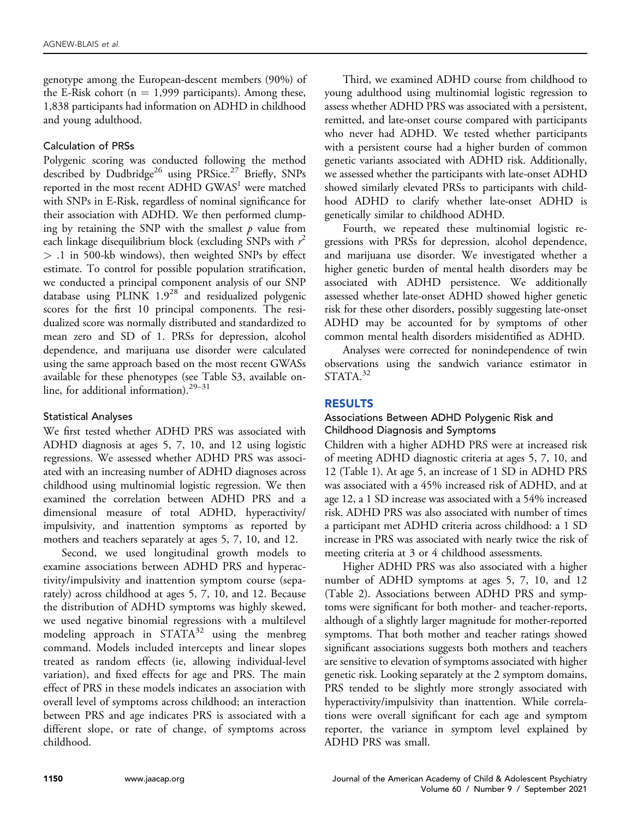genotype among the European-descent members (90%) of the E-Risk cohort ( $n = 1,999$  participants). Among these, 1,838 participants had information on ADHD in childhood and young adulthood.

#### Calculation of PRSs

Polygenic scoring was conducted following the method described by Dudbridge<sup>26</sup> using PRSice.<sup>27</sup> Briefly, SNPs reported in the most recent ADHD  $GWAS<sup>1</sup>$  $GWAS<sup>1</sup>$  $GWAS<sup>1</sup>$  were matched with SNPs in E-Risk, regardless of nominal significance for their association with ADHD. We then performed clumping by retaining the SNP with the smallest  $p$  value from each linkage disequilibrium block (excluding SNPs with  $r^2$ > .1 in 500-kb windows), then weighted SNPs by effect estimate. To control for possible population stratification, we conducted a principal component analysis of our SNP database using PLINK  $1.9^{28}$  $1.9^{28}$  $1.9^{28}$  and residualized polygenic scores for the first 10 principal components. The residualized score was normally distributed and standardized to mean zero and SD of 1. PRSs for depression, alcohol dependence, and marijuana use disorder were calculated using the same approach based on the most recent GWASs available for these phenotypes (see Table S3, available online, for additional information). $29-31$  $29-31$ 

#### Statistical Analyses

We first tested whether ADHD PRS was associated with ADHD diagnosis at ages 5, 7, 10, and 12 using logistic regressions. We assessed whether ADHD PRS was associated with an increasing number of ADHD diagnoses across childhood using multinomial logistic regression. We then examined the correlation between ADHD PRS and a dimensional measure of total ADHD, hyperactivity/ impulsivity, and inattention symptoms as reported by mothers and teachers separately at ages 5, 7, 10, and 12.

Second, we used longitudinal growth models to examine associations between ADHD PRS and hyperactivity/impulsivity and inattention symptom course (separately) across childhood at ages 5, 7, 10, and 12. Because the distribution of ADHD symptoms was highly skewed, we used negative binomial regressions with a multilevel modeling approach in  $STATA^{32}$  $STATA^{32}$  $STATA^{32}$  using the menbreg command. Models included intercepts and linear slopes treated as random effects (ie, allowing individual-level variation), and fixed effects for age and PRS. The main effect of PRS in these models indicates an association with overall level of symptoms across childhood; an interaction between PRS and age indicates PRS is associated with a different slope, or rate of change, of symptoms across childhood.

Third, we examined ADHD course from childhood to young adulthood using multinomial logistic regression to assess whether ADHD PRS was associated with a persistent, remitted, and late-onset course compared with participants who never had ADHD. We tested whether participants with a persistent course had a higher burden of common genetic variants associated with ADHD risk. Additionally, we assessed whether the participants with late-onset ADHD showed similarly elevated PRSs to participants with childhood ADHD to clarify whether late-onset ADHD is genetically similar to childhood ADHD.

Fourth, we repeated these multinomial logistic regressions with PRSs for depression, alcohol dependence, and marijuana use disorder. We investigated whether a higher genetic burden of mental health disorders may be associated with ADHD persistence. We additionally assessed whether late-onset ADHD showed higher genetic risk for these other disorders, possibly suggesting late-onset ADHD may be accounted for by symptoms of other common mental health disorders misidentified as ADHD.

Analyses were corrected for nonindependence of twin observations using the sandwich variance estimator in  $STATA.<sup>32</sup>$ 

# RESULTS

#### Associations Between ADHD Polygenic Risk and Childhood Diagnosis and Symptoms

Children with a higher ADHD PRS were at increased risk of meeting ADHD diagnostic criteria at ages 5, 7, 10, and 12 ([Table 1](#page-4-0)). At age 5, an increase of 1 SD in ADHD PRS was associated with a 45% increased risk of ADHD, and at age 12, a 1 SD increase was associated with a 54% increased risk. ADHD PRS was also associated with number of times a participant met ADHD criteria across childhood: a 1 SD increase in PRS was associated with nearly twice the risk of meeting criteria at 3 or 4 childhood assessments.

Higher ADHD PRS was also associated with a higher number of ADHD symptoms at ages 5, 7, 10, and 12 ([Table 2](#page-4-1)). Associations between ADHD PRS and symptoms were significant for both mother- and teacher-reports, although of a slightly larger magnitude for mother-reported symptoms. That both mother and teacher ratings showed significant associations suggests both mothers and teachers are sensitive to elevation of symptoms associated with higher genetic risk. Looking separately at the 2 symptom domains, PRS tended to be slightly more strongly associated with hyperactivity/impulsivity than inattention. While correlations were overall significant for each age and symptom reporter, the variance in symptom level explained by ADHD PRS was small.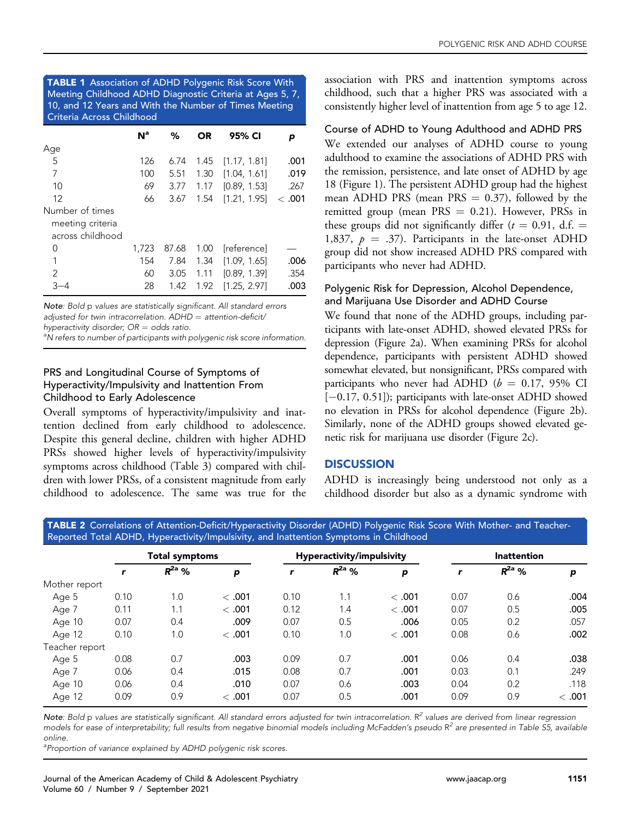<span id="page-4-0"></span>TABLE 1 Association of ADHD Polygenic Risk Score With Meeting Childhood ADHD Diagnostic Criteria at Ages 5, 7, 10, and 12 Years and With the Number of Times Meeting Criteria Across Childhood

|                  | N <sup>a</sup> | %     | OR   | 95% CI       | р     |
|------------------|----------------|-------|------|--------------|-------|
| Age              |                |       |      |              |       |
| 5                | 126            | 6.74  | 1.45 | [1.17, 1.81] | .001  |
| 7                | 100            | 5.51  | 1.30 | [1.04, 1.61] | .019  |
| 10               | 69             | 3.77  | 1.17 | [0.89, 1.53] | .267  |
| 12               | 66             | 3.67  | 1.54 | [1.21, 1.95] | <.001 |
| Number of times  |                |       |      |              |       |
| meeting criteria |                |       |      |              |       |
| across childhood |                |       |      |              |       |
| 0                | 1,723          | 87.68 | 1.00 | [reference]  |       |
| 1                | 154            | 7.84  | 1.34 | [1.09, 1.65] | .006  |
| 2                | 60             | 3.05  | 1.11 | [0.89, 1.39] | .354  |
| -4               | 28             | 1.42  | 1.92 | [1.25, 2.97] | .003  |

Note: Bold p values are statistically significant. All standard errors adjusted for twin intracorrelation.  $ADHD =$  attention-deficit/ hyperactivity disorder;  $OR =$  odds ratio.

<sup>a</sup>N refers to number of participants with polygenic risk score information.

# PRS and Longitudinal Course of Symptoms of Hyperactivity/Impulsivity and Inattention From Childhood to Early Adolescence

Overall symptoms of hyperactivity/impulsivity and inattention declined from early childhood to adolescence. Despite this general decline, children with higher ADHD PRSs showed higher levels of hyperactivity/impulsivity symptoms across childhood ([Table 3](#page-5-0)) compared with children with lower PRSs, of a consistent magnitude from early childhood to adolescence. The same was true for the

association with PRS and inattention symptoms across childhood, such that a higher PRS was associated with a consistently higher level of inattention from age 5 to age 12.

#### Course of ADHD to Young Adulthood and ADHD PRS

We extended our analyses of ADHD course to young adulthood to examine the associations of ADHD PRS with the remission, persistence, and late onset of ADHD by age 18 ([Figure 1\)](#page-5-1). The persistent ADHD group had the highest mean ADHD PRS (mean PRS  $= 0.37$ ), followed by the remitted group (mean  $PRS = 0.21$ ). However, PRSs in these groups did not significantly differ ( $t = 0.91$ , d.f. = 1,837,  $p = .37$ ). Participants in the late-onset ADHD group did not show increased ADHD PRS compared with participants who never had ADHD.

# Polygenic Risk for Depression, Alcohol Dependence, and Marijuana Use Disorder and ADHD Course

We found that none of the ADHD groups, including participants with late-onset ADHD, showed elevated PRSs for depression [\(Figure 2a](#page-6-0)). When examining PRSs for alcohol dependence, participants with persistent ADHD showed somewhat elevated, but nonsignificant, PRSs compared with participants who never had ADHD ( $b = 0.17$ , 95% CI [-0.17, 0.51]); participants with late-onset ADHD showed no elevation in PRSs for alcohol dependence ([Figure 2](#page-6-0)b). Similarly, none of the ADHD groups showed elevated genetic risk for marijuana use disorder [\(Figure 2](#page-6-0)c).

# **DISCUSSION**

ADHD is increasingly being understood not only as a childhood disorder but also as a dynamic syndrome with

<span id="page-4-1"></span>TABLE 2 Correlations of Attention-Deficit/Hyperactivity Disorder (ADHD) Polygenic Risk Score With Mother- and Teacher-Reported Total ADHD, Hyperactivity/Impulsivity, and Inattention Symptoms in Childhood

|                |      | <b>Total symptoms</b> |        |      | Hyperactivity/impulsivity |       |      | <b>Inattention</b> |        |  |
|----------------|------|-----------------------|--------|------|---------------------------|-------|------|--------------------|--------|--|
|                | r    | $R^{2a}$ %            | p      | r    | $R^{2a}$ %                | p     |      | $R^{2a}$ %         | p      |  |
| Mother report  |      |                       |        |      |                           |       |      |                    |        |  |
| Age 5          | 0.10 | 1.0                   | < .001 | 0.10 | 1.1                       | <.001 | 0.07 | 0.6                | .004   |  |
| Age 7          | 0.11 | 1.1                   | < .001 | 0.12 | 1.4                       | <.001 | 0.07 | 0.5                | .005   |  |
| Age 10         | 0.07 | 0.4                   | .009   | 0.07 | 0.5                       | .006  | 0.05 | 0.2                | .057   |  |
| Age 12         | 0.10 | 1.0                   | < .001 | 0.10 | 1.0                       | <.001 | 0.08 | 0.6                | .002   |  |
| Teacher report |      |                       |        |      |                           |       |      |                    |        |  |
| Age 5          | 0.08 | 0.7                   | .003   | 0.09 | 0.7                       | .001  | 0.06 | 0.4                | .038   |  |
| Age 7          | 0.06 | 0.4                   | .015   | 0.08 | 0.7                       | .001  | 0.03 | 0.1                | .249   |  |
| Age 10         | 0.06 | 0.4                   | .010   | 0.07 | 0.6                       | .003  | 0.04 | 0.2                | .118   |  |
| Age 12         | 0.09 | 0.9                   | < .001 | 0.07 | 0.5                       | .001  | 0.09 | 0.9                | < .001 |  |

Note: Bold p values are statistically significant. All standard errors adjusted for twin intracorrelation.  $R^2$  values are derived from linear regression models for ease of interpretability; full results from negative binomial models including McFadden's pseudo  $R^2$  are presented in Table S5, available online.

<sup>a</sup> Proportion of variance explained by ADHD polygenic risk scores.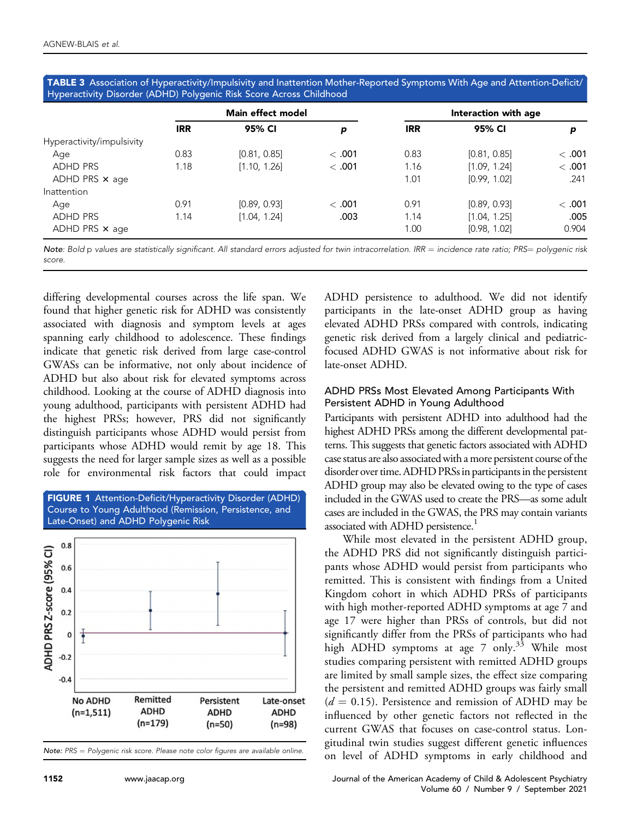<span id="page-5-0"></span>TABLE 3 Association of Hyperactivity/Impulsivity and Inattention Mother-Reported Symptoms With Age and Attention-Deficit/ Hyperactivity Disorder (ADHD) Polygenic Risk Score Across Childhood

|                           | Main effect model |              |       | Interaction with age |              |        |  |
|---------------------------|-------------------|--------------|-------|----------------------|--------------|--------|--|
|                           | <b>IRR</b>        | 95% CI       | p     | <b>IRR</b>           | 95% CI       | p      |  |
| Hyperactivity/impulsivity |                   |              |       |                      |              |        |  |
| Age                       | 0.83              | [0.81, 0.85] | <.001 | 0.83                 | [0.81, 0.85] | <.001  |  |
| <b>ADHD PRS</b>           | 1.18              | [1.10, 1.26] | <.001 | 1.16                 | [1.09, 1.24] | < .001 |  |
| ADHD PRS $\times$ age     |                   |              |       | 1.01                 | [0.99, 1.02] | .241   |  |
| Inattention               |                   |              |       |                      |              |        |  |
| Age                       | 0.91              | [0.89, 0.93] | <.001 | 0.91                 | [0.89, 0.93] | < .001 |  |
| <b>ADHD PRS</b>           | 1.14              | [1.04, 1.24] | .003  | 1.14                 | [1.04, 1.25] | .005   |  |
| ADHD PRS $\times$ age     |                   |              |       | 1.00                 | [0.98, 1.02] | 0.904  |  |

Note: Bold p values are statistically significant. All standard errors adjusted for twin intracorrelation. IRR = incidence rate ratio; PRS= polygenic risk score.

differing developmental courses across the life span. We found that higher genetic risk for ADHD was consistently associated with diagnosis and symptom levels at ages spanning early childhood to adolescence. These findings indicate that genetic risk derived from large case-control GWASs can be informative, not only about incidence of ADHD but also about risk for elevated symptoms across childhood. Looking at the course of ADHD diagnosis into young adulthood, participants with persistent ADHD had the highest PRSs; however, PRS did not significantly distinguish participants whose ADHD would persist from participants whose ADHD would remit by age 18. This suggests the need for larger sample sizes as well as a possible role for environmental risk factors that could impact

<span id="page-5-1"></span>

Note:  $PRS = Polyqenic$  risk score. Please note color figures are available online.

ADHD persistence to adulthood. We did not identify participants in the late-onset ADHD group as having elevated ADHD PRSs compared with controls, indicating genetic risk derived from a largely clinical and pediatricfocused ADHD GWAS is not informative about risk for late-onset ADHD.

#### ADHD PRSs Most Elevated Among Participants With Persistent ADHD in Young Adulthood

Participants with persistent ADHD into adulthood had the highest ADHD PRSs among the different developmental patterns. This suggests that genetic factors associated with ADHD case status are also associated with a more persistent course of the disorder over time. ADHD PRSs in participants in the persistent ADHD group may also be elevated owing to the type of cases included in the GWAS used to create the PRS—as some adult cases are included in the GWAS, the PRS may contain variants associated with ADHD persistence.<sup>1</sup>

While most elevated in the persistent ADHD group, the ADHD PRS did not significantly distinguish participants whose ADHD would persist from participants who remitted. This is consistent with findings from a United Kingdom cohort in which ADHD PRSs of participants with high mother-reported ADHD symptoms at age 7 and age 17 were higher than PRSs of controls, but did not significantly differ from the PRSs of participants who had high ADHD symptoms at age 7 only.<sup>[33](#page-9-13)</sup> While most studies comparing persistent with remitted ADHD groups are limited by small sample sizes, the effect size comparing the persistent and remitted ADHD groups was fairly small  $(d = 0.15)$ . Persistence and remission of ADHD may be influenced by other genetic factors not reflected in the current GWAS that focuses on case-control status. Longitudinal twin studies suggest different genetic influences on level of ADHD symptoms in early childhood and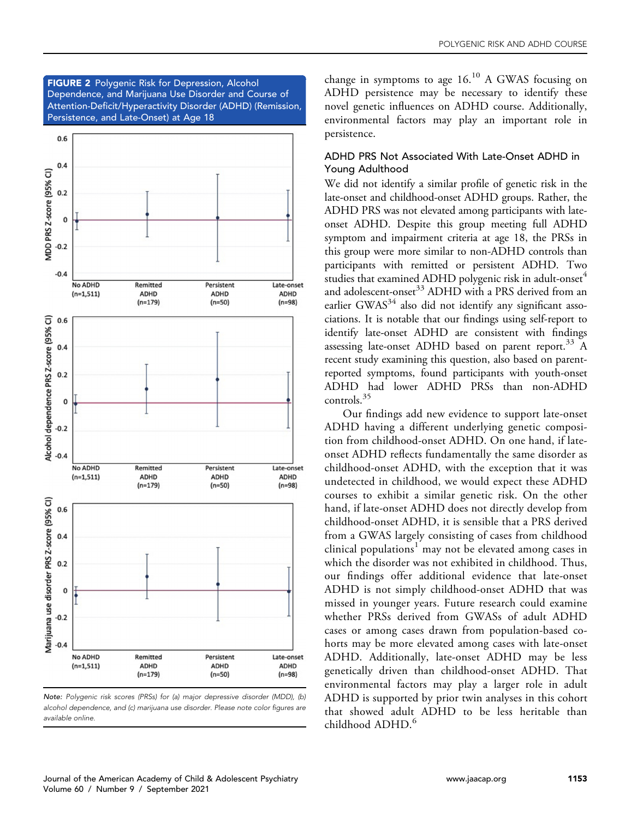<span id="page-6-0"></span>**FIGURE 2** Polygenic Risk for Depression, Alcohol Dependence, and Marijuana Use Disorder and Course of Attention-Deficit/Hyperactivity Disorder (ADHD) (Remission, Persistence, and Late-Onset) at Age 18



Note: Polygenic risk scores (PRSs) for (a) major depressive disorder (MDD), (b) alcohol dependence, and (c) marijuana use disorder. Please note color figures are available online.

change in symptoms to age  $16<sup>10</sup>$  $16<sup>10</sup>$  $16<sup>10</sup>$  A GWAS focusing on ADHD persistence may be necessary to identify these novel genetic influences on ADHD course. Additionally, environmental factors may play an important role in persistence.

#### ADHD PRS Not Associated With Late-Onset ADHD in Young Adulthood

We did not identify a similar profile of genetic risk in the late-onset and childhood-onset ADHD groups. Rather, the ADHD PRS was not elevated among participants with lateonset ADHD. Despite this group meeting full ADHD symptom and impairment criteria at age 18, the PRSs in this group were more similar to non-ADHD controls than participants with remitted or persistent ADHD. Two studies that examined ADHD polygenic risk in adult-onset<sup>[4](#page-8-9)</sup> and adolescent-onset<sup>[33](#page-9-13)</sup> ADHD with a PRS derived from an earlier GWAS $34$  also did not identify any significant associations. It is notable that our findings using self-report to identify late-onset ADHD are consistent with findings assessing late-onset ADHD based on parent report.<sup>[33](#page-9-13)</sup> A recent study examining this question, also based on parentreported symptoms, found participants with youth-onset ADHD had lower ADHD PRSs than non-ADHD controls.[35](#page-9-15)

Our findings add new evidence to support late-onset ADHD having a different underlying genetic composition from childhood-onset ADHD. On one hand, if lateonset ADHD reflects fundamentally the same disorder as childhood-onset ADHD, with the exception that it was undetected in childhood, we would expect these ADHD courses to exhibit a similar genetic risk. On the other hand, if late-onset ADHD does not directly develop from childhood-onset ADHD, it is sensible that a PRS derived from a GWAS largely consisting of cases from childhood clinical populations<sup>[1](#page-8-0)</sup> may not be elevated among cases in which the disorder was not exhibited in childhood. Thus, our findings offer additional evidence that late-onset ADHD is not simply childhood-onset ADHD that was missed in younger years. Future research could examine whether PRSs derived from GWASs of adult ADHD cases or among cases drawn from population-based cohorts may be more elevated among cases with late-onset ADHD. Additionally, late-onset ADHD may be less genetically driven than childhood-onset ADHD. That environmental factors may play a larger role in adult ADHD is supported by prior twin analyses in this cohort that showed adult ADHD to be less heritable than childhood ADHD.<sup>[6](#page-8-3)</sup>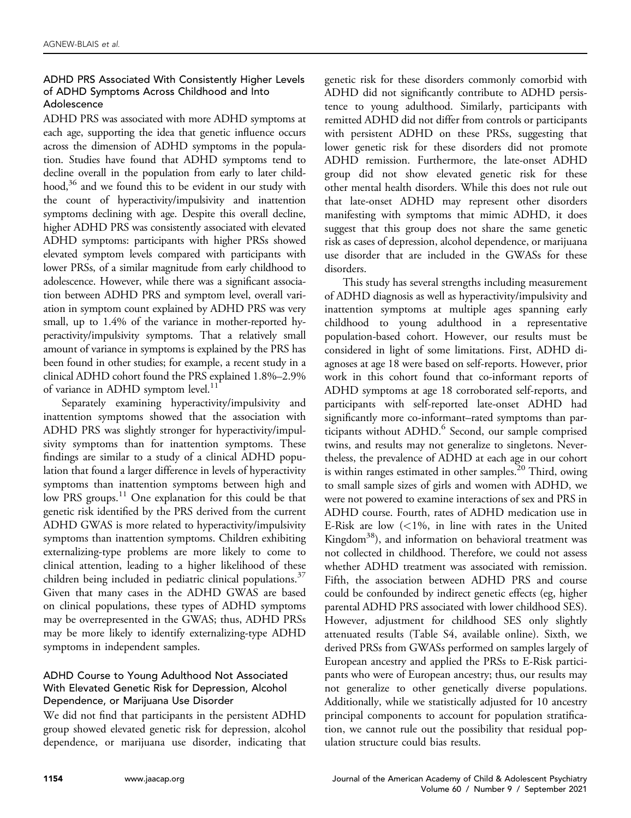# ADHD PRS Associated With Consistently Higher Levels of ADHD Symptoms Across Childhood and Into Adolescence

ADHD PRS was associated with more ADHD symptoms at each age, supporting the idea that genetic influence occurs across the dimension of ADHD symptoms in the population. Studies have found that ADHD symptoms tend to decline overall in the population from early to later childhood,<sup>36</sup> and we found this to be evident in our study with the count of hyperactivity/impulsivity and inattention symptoms declining with age. Despite this overall decline, higher ADHD PRS was consistently associated with elevated ADHD symptoms: participants with higher PRSs showed elevated symptom levels compared with participants with lower PRSs, of a similar magnitude from early childhood to adolescence. However, while there was a significant association between ADHD PRS and symptom level, overall variation in symptom count explained by ADHD PRS was very small, up to 1.4% of the variance in mother-reported hyperactivity/impulsivity symptoms. That a relatively small amount of variance in symptoms is explained by the PRS has been found in other studies; for example, a recent study in a clinical ADHD cohort found the PRS explained 1.8%–2.9% of variance in ADHD symptom level.<sup>[11](#page-8-8)</sup>

Separately examining hyperactivity/impulsivity and inattention symptoms showed that the association with ADHD PRS was slightly stronger for hyperactivity/impulsivity symptoms than for inattention symptoms. These findings are similar to a study of a clinical ADHD population that found a larger difference in levels of hyperactivity symptoms than inattention symptoms between high and low PRS groups.<sup>11</sup> One explanation for this could be that genetic risk identified by the PRS derived from the current ADHD GWAS is more related to hyperactivity/impulsivity symptoms than inattention symptoms. Children exhibiting externalizing-type problems are more likely to come to clinical attention, leading to a higher likelihood of these children being included in pediatric clinical populations.<sup>37</sup> Given that many cases in the ADHD GWAS are based on clinical populations, these types of ADHD symptoms may be overrepresented in the GWAS; thus, ADHD PRSs may be more likely to identify externalizing-type ADHD symptoms in independent samples.

# ADHD Course to Young Adulthood Not Associated With Elevated Genetic Risk for Depression, Alcohol Dependence, or Marijuana Use Disorder

We did not find that participants in the persistent ADHD group showed elevated genetic risk for depression, alcohol dependence, or marijuana use disorder, indicating that genetic risk for these disorders commonly comorbid with ADHD did not significantly contribute to ADHD persistence to young adulthood. Similarly, participants with remitted ADHD did not differ from controls or participants with persistent ADHD on these PRSs, suggesting that lower genetic risk for these disorders did not promote ADHD remission. Furthermore, the late-onset ADHD group did not show elevated genetic risk for these other mental health disorders. While this does not rule out that late-onset ADHD may represent other disorders manifesting with symptoms that mimic ADHD, it does suggest that this group does not share the same genetic risk as cases of depression, alcohol dependence, or marijuana use disorder that are included in the GWASs for these disorders.

This study has several strengths including measurement of ADHD diagnosis as well as hyperactivity/impulsivity and inattention symptoms at multiple ages spanning early childhood to young adulthood in a representative population-based cohort. However, our results must be considered in light of some limitations. First, ADHD diagnoses at age 18 were based on self-reports. However, prior work in this cohort found that co-informant reports of ADHD symptoms at age 18 corroborated self-reports, and participants with self-reported late-onset ADHD had significantly more co-informant–rated symptoms than par-ticipants without ADHD.<sup>[6](#page-8-3)</sup> Second, our sample comprised twins, and results may not generalize to singletons. Nevertheless, the prevalence of ADHD at each age in our cohort is within ranges estimated in other samples.<sup>20</sup> Third, owing to small sample sizes of girls and women with ADHD, we were not powered to examine interactions of sex and PRS in ADHD course. Fourth, rates of ADHD medication use in E-Risk are low  $\left($  < 1%, in line with rates in the United Kingdom<sup>38</sup>), and information on behavioral treatment was not collected in childhood. Therefore, we could not assess whether ADHD treatment was associated with remission. Fifth, the association between ADHD PRS and course could be confounded by indirect genetic effects (eg, higher parental ADHD PRS associated with lower childhood SES). However, adjustment for childhood SES only slightly attenuated results (Table S4, available online). Sixth, we derived PRSs from GWASs performed on samples largely of European ancestry and applied the PRSs to E-Risk participants who were of European ancestry; thus, our results may not generalize to other genetically diverse populations. Additionally, while we statistically adjusted for 10 ancestry principal components to account for population stratification, we cannot rule out the possibility that residual population structure could bias results.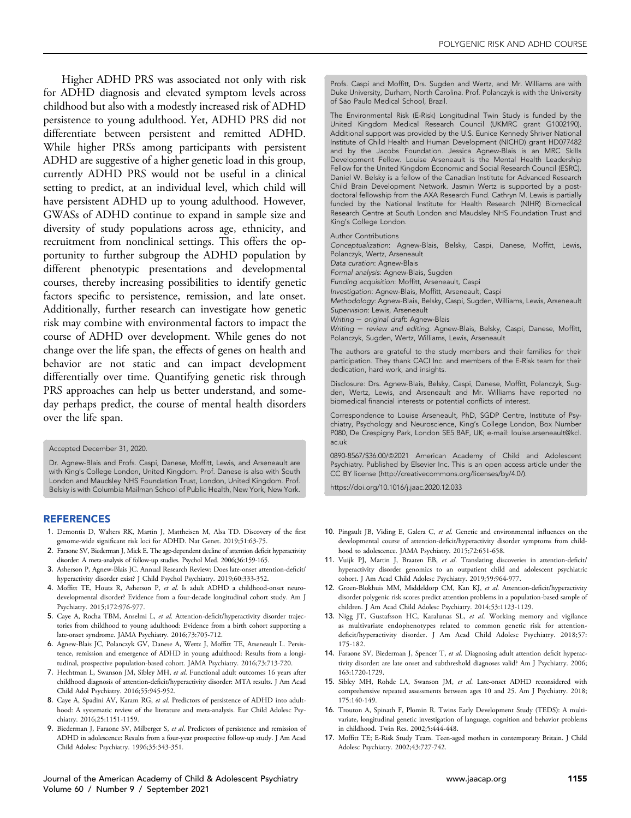Higher ADHD PRS was associated not only with risk for ADHD diagnosis and elevated symptom levels across childhood but also with a modestly increased risk of ADHD persistence to young adulthood. Yet, ADHD PRS did not differentiate between persistent and remitted ADHD. While higher PRSs among participants with persistent ADHD are suggestive of a higher genetic load in this group, currently ADHD PRS would not be useful in a clinical setting to predict, at an individual level, which child will have persistent ADHD up to young adulthood. However, GWASs of ADHD continue to expand in sample size and diversity of study populations across age, ethnicity, and recruitment from nonclinical settings. This offers the opportunity to further subgroup the ADHD population by different phenotypic presentations and developmental courses, thereby increasing possibilities to identify genetic factors specific to persistence, remission, and late onset. Additionally, further research can investigate how genetic risk may combine with environmental factors to impact the course of ADHD over development. While genes do not change over the life span, the effects of genes on health and behavior are not static and can impact development differentially over time. Quantifying genetic risk through PRS approaches can help us better understand, and someday perhaps predict, the course of mental health disorders over the life span.

#### Accepted December 31, 2020.

Dr. Agnew-Blais and Profs. Caspi, Danese, Moffitt, Lewis, and Arseneault are with King's College London, United Kingdom. Prof. Danese is also with South London and Maudsley NHS Foundation Trust, London, United Kingdom. Prof. Belsky is with Columbia Mailman School of Public Health, New York, New York.

#### **REFERENCES**

- <span id="page-8-0"></span>1. Demontis D, Walters RK, Martin J, Mattheisen M, Alsa TD. Discovery of the first genome-wide significant risk loci for ADHD. Nat Genet. 2019;51:63-75.
- <span id="page-8-1"></span>2. Faraone SV, Biederman J, Mick E. The age-dependent decline of attention deficit hyperactivity disorder: A meta-analysis of follow-up studies. Psychol Med. 2006;36:159-165.
- <span id="page-8-2"></span>3. Asherson P, Agnew-Blais JC. Annual Research Review: Does late-onset attention-deficit/ hyperactivity disorder exist? J Child Psychol Psychiatry. 2019;60:333-352.
- <span id="page-8-9"></span>4. Moffitt TE, Houts R, Asherson P, et al. Is adult ADHD a childhood-onset neurodevelopmental disorder? Evidence from a four-decade longitudinal cohort study. Am J Psychiatry. 2015;172:976-977.
- 5. Caye A, Rocha TBM, Anselmi L, et al. Attention-deficit/hyperactivity disorder trajectories from childhood to young adulthood: Evidence from a birth cohort supporting a late-onset syndrome. JAMA Psychiatry. 2016;73:705-712.
- <span id="page-8-3"></span>6. Agnew-Blais JC, Polanczyk GV, Danese A, Wertz J, Moffitt TE, Arseneault L. Persistence, remission and emergence of ADHD in young adulthood: Results from a longitudinal, prospective population-based cohort. JAMA Psychiatry. 2016;73:713-720.
- <span id="page-8-4"></span>7. Hechtman L, Swanson JM, Sibley MH, et al. Functional adult outcomes 16 years after childhood diagnosis of attention-deficit/hyperactivity disorder: MTA results. J Am Acad Child Adol Psychiatry. 2016;55:945-952.
- <span id="page-8-5"></span>8. Caye A, Spadini AV, Karam RG, et al. Predictors of persistence of ADHD into adulthood: A systematic review of the literature and meta-analysis. Eur Child Adolesc Psychiatry. 2016;25:1151-1159.
- <span id="page-8-6"></span>9. Biederman J, Faraone SV, Milberger S, et al. Predictors of persistence and remission of ADHD in adolescence: Results from a four-year prospective follow-up study. J Am Acad Child Adolesc Psychiatry. 1996;35:343-351.

Journal of the American Academy of Child & Adolescent Psychiatry [www.jaacap.org](http://www.jaacap.org) 1155 Volume 60 / Number 9 / September 2021

Profs. Caspi and Moffitt, Drs. Sugden and Wertz, and Mr. Williams are with Duke University, Durham, North Carolina. Prof. Polanczyk is with the University of São Paulo Medical School, Brazil.

The Environmental Risk (E-Risk) Longitudinal Twin Study is funded by the United Kingdom Medical Research Council (UKMRC grant G1002190). Additional support was provided by the U.S. Eunice Kennedy Shriver National Institute of Child Health and Human Development (NICHD) grant HD077482 and by the Jacobs Foundation. Jessica Agnew-Blais is an MRC Skills Development Fellow. Louise Arseneault is the Mental Health Leadership Fellow for the United Kingdom Economic and Social Research Council (ESRC). Daniel W. Belsky is a fellow of the Canadian Institute for Advanced Research Child Brain Development Network. Jasmin Wertz is supported by a postdoctoral fellowship from the AXA Research Fund. Cathryn M. Lewis is partially funded by the National Institute for Health Research (NIHR) Biomedical Research Centre at South London and Maudsley NHS Foundation Trust and King's College London.

Author Contributions

Conceptualization: Agnew-Blais, Belsky, Caspi, Danese, Moffitt, Lewis, Polanczyk, Wertz, Arseneault

Data curation: Agnew-Blais Formal analysis: Agnew-Blais, Sugden

Funding acquisition: Moffitt, Arseneault, Caspi

Investigation: Agnew-Blais, Moffitt, Arseneault, Caspi

Methodology: Agnew-Blais, Belsky, Caspi, Sugden, Williams, Lewis, Arseneault Supervision: Lewis, Arseneault

Writing  $-$  original draft: Agnew-Blais

Writing - review and editing: Agnew-Blais, Belsky, Caspi, Danese, Moffitt, Polanczyk, Sugden, Wertz, Williams, Lewis, Arseneault

The authors are grateful to the study members and their families for their participation. They thank CACI Inc. and members of the E-Risk team for their dedication, hard work, and insights.

Disclosure: Drs. Agnew-Blais, Belsky, Caspi, Danese, Moffitt, Polanczyk, Sugden, Wertz, Lewis, and Arseneault and Mr. Williams have reported no biomedical financial interests or potential conflicts of interest.

Correspondence to Louise Arseneault, PhD, SGDP Centre, Institute of Psychiatry, Psychology and Neuroscience, King's College London, Box Number P080, De Crespigny Park, London SE5 8AF, UK; e-mail: [louise.arseneault@kcl.](mailto:louise.arseneault@kcl.ac.uk) [ac.uk](mailto:louise.arseneault@kcl.ac.uk)

0890-8567/\$36.00/@2021 American Academy of Child and Adolescent Psychiatry. Published by Elsevier Inc. This is an open access article under the CC BY license (http://creativecommons.org/licenses/by/4.0/).

<https://doi.org/10.1016/j.jaac.2020.12.033>

- <span id="page-8-7"></span>10. Pingault JB, Viding E, Galera C, et al. Genetic and environmental influences on the developmental course of attention-deficit/hyperactivity disorder symptoms from childhood to adolescence. JAMA Psychiatry. 2015;72:651-658.
- <span id="page-8-8"></span>11. Vuijk PJ, Martin J, Braaten EB, et al. Translating discoveries in attention-deficit/ hyperactivity disorder genomics to an outpatient child and adolescent psychiatric cohort. J Am Acad Child Adolesc Psychiatry. 2019;59:964-977.
- 12. Groen-Blokhuis MM, Middeldorp CM, Kan KJ, et al. Attention-deficit/hyperactivity disorder polygenic risk scores predict attention problems in a population-based sample of children. J Am Acad Child Adolesc Psychiatry. 2014;53:1123-1129.
- 13. Nigg JT, Gustafsson HC, Karalunas SL, et al. Working memory and vigilance as multivariate endophenotypes related to common genetic risk for attentiondeficit/hyperactivity disorder. J Am Acad Child Adolesc Psychiatry. 2018;57: 175-182.
- <span id="page-8-10"></span>14. Faraone SV, Biederman J, Spencer T, et al. Diagnosing adult attention deficit hyperactivity disorder: are late onset and subthreshold diagnoses valid? Am J Psychiatry. 2006; 163:1720-1729.
- <span id="page-8-11"></span>15. Sibley MH, Rohde LA, Swanson JM, et al. Late-onset ADHD reconsidered with comprehensive repeated assessments between ages 10 and 25. Am J Psychiatry. 2018; 175:140-149.
- <span id="page-8-12"></span>16. Trouton A, Spinath F, Plomin R. Twins Early Development Study (TEDS): A multivariate, longitudinal genetic investigation of language, cognition and behavior problems in childhood. Twin Res. 2002;5:444-448.
- <span id="page-8-13"></span>17. Moffitt TE; E-Risk Study Team. Teen-aged mothers in contemporary Britain. J Child Adolesc Psychiatry. 2002;43:727-742.